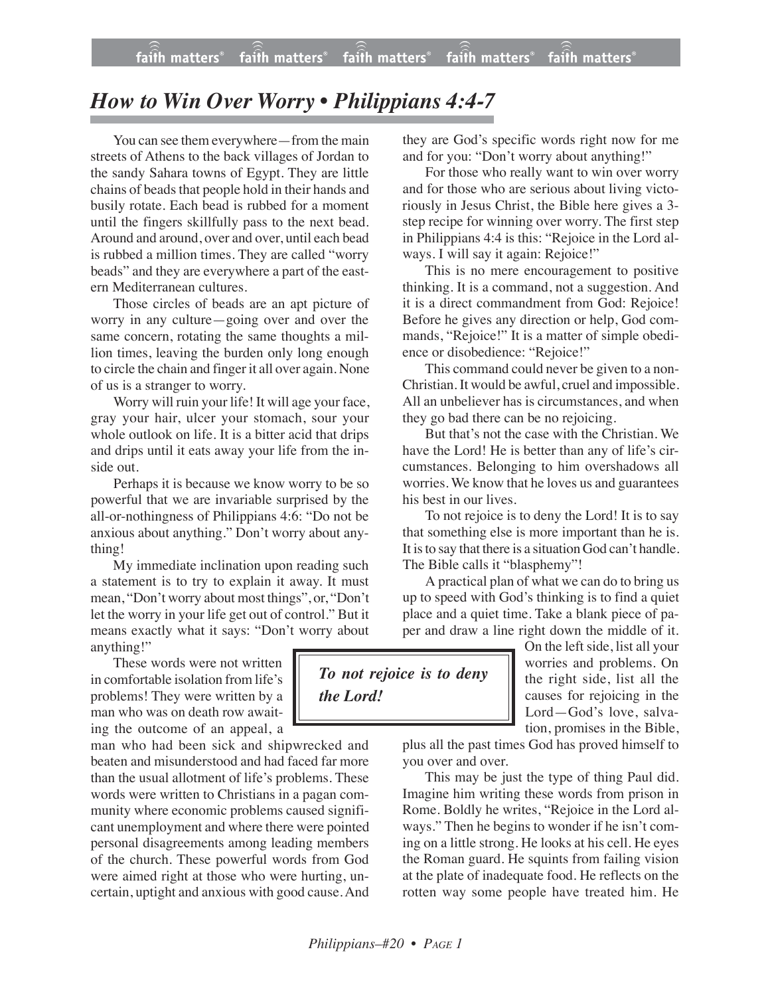## *How to Win Over Worry • Philippians 4:4-7*

You can see them everywhere—from the main streets of Athens to the back villages of Jordan to the sandy Sahara towns of Egypt. They are little chains of beads that people hold in their hands and busily rotate. Each bead is rubbed for a moment until the fingers skillfully pass to the next bead. Around and around, over and over, until each bead is rubbed a million times. They are called "worry beads" and they are everywhere a part of the eastern Mediterranean cultures.

Those circles of beads are an apt picture of worry in any culture—going over and over the same concern, rotating the same thoughts a million times, leaving the burden only long enough to circle the chain and finger it all over again. None of us is a stranger to worry.

Worry will ruin your life! It will age your face, gray your hair, ulcer your stomach, sour your whole outlook on life. It is a bitter acid that drips and drips until it eats away your life from the inside out.

Perhaps it is because we know worry to be so powerful that we are invariable surprised by the all-or-nothingness of Philippians 4:6: "Do not be anxious about anything." Don't worry about anything!

My immediate inclination upon reading such a statement is to try to explain it away. It must mean, "Don't worry about most things", or, "Don't let the worry in your life get out of control." But it means exactly what it says: "Don't worry about anything!"

These words were not written in comfortable isolation from life's problems! They were written by a man who was on death row awaiting the outcome of an appeal, a

man who had been sick and shipwrecked and beaten and misunderstood and had faced far more than the usual allotment of life's problems. These words were written to Christians in a pagan community where economic problems caused significant unemployment and where there were pointed personal disagreements among leading members of the church. These powerful words from God were aimed right at those who were hurting, uncertain, uptight and anxious with good cause. And they are God's specific words right now for me and for you: "Don't worry about anything!"

For those who really want to win over worry and for those who are serious about living victoriously in Jesus Christ, the Bible here gives a 3 step recipe for winning over worry. The first step in Philippians 4:4 is this: "Rejoice in the Lord always. I will say it again: Rejoice!"

This is no mere encouragement to positive thinking. It is a command, not a suggestion. And it is a direct commandment from God: Rejoice! Before he gives any direction or help, God commands, "Rejoice!" It is a matter of simple obedience or disobedience: "Rejoice!"

This command could never be given to a non-Christian. It would be awful, cruel and impossible. All an unbeliever has is circumstances, and when they go bad there can be no rejoicing.

But that's not the case with the Christian. We have the Lord! He is better than any of life's circumstances. Belonging to him overshadows all worries. We know that he loves us and guarantees his best in our lives.

To not rejoice is to deny the Lord! It is to say that something else is more important than he is. It is to say that there is a situation God can't handle. The Bible calls it "blasphemy"!

A practical plan of what we can do to bring us up to speed with God's thinking is to find a quiet place and a quiet time. Take a blank piece of paper and draw a line right down the middle of it.



On the left side, list all your worries and problems. On the right side, list all the causes for rejoicing in the Lord—God's love, salvation, promises in the Bible,

plus all the past times God has proved himself to you over and over.

This may be just the type of thing Paul did. Imagine him writing these words from prison in Rome. Boldly he writes, "Rejoice in the Lord always." Then he begins to wonder if he isn't coming on a little strong. He looks at his cell. He eyes the Roman guard. He squints from failing vision at the plate of inadequate food. He reflects on the rotten way some people have treated him. He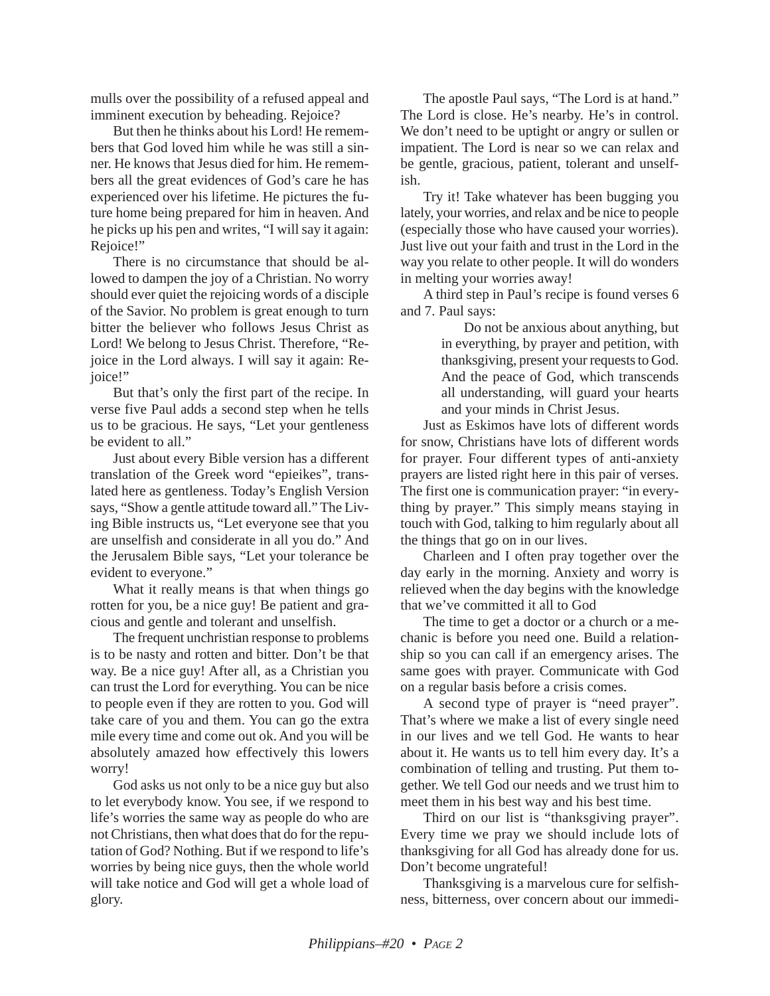mulls over the possibility of a refused appeal and imminent execution by beheading. Rejoice?

But then he thinks about his Lord! He remembers that God loved him while he was still a sinner. He knows that Jesus died for him. He remembers all the great evidences of God's care he has experienced over his lifetime. He pictures the future home being prepared for him in heaven. And he picks up his pen and writes, "I will say it again: Rejoice!"

There is no circumstance that should be allowed to dampen the joy of a Christian. No worry should ever quiet the rejoicing words of a disciple of the Savior. No problem is great enough to turn bitter the believer who follows Jesus Christ as Lord! We belong to Jesus Christ. Therefore, "Rejoice in the Lord always. I will say it again: Rejoice!"

But that's only the first part of the recipe. In verse five Paul adds a second step when he tells us to be gracious. He says, "Let your gentleness be evident to all."

Just about every Bible version has a different translation of the Greek word "epieikes", translated here as gentleness. Today's English Version says, "Show a gentle attitude toward all." The Living Bible instructs us, "Let everyone see that you are unselfish and considerate in all you do." And the Jerusalem Bible says, "Let your tolerance be evident to everyone."

What it really means is that when things go rotten for you, be a nice guy! Be patient and gracious and gentle and tolerant and unselfish.

The frequent unchristian response to problems is to be nasty and rotten and bitter. Don't be that way. Be a nice guy! After all, as a Christian you can trust the Lord for everything. You can be nice to people even if they are rotten to you. God will take care of you and them. You can go the extra mile every time and come out ok. And you will be absolutely amazed how effectively this lowers worry!

God asks us not only to be a nice guy but also to let everybody know. You see, if we respond to life's worries the same way as people do who are not Christians, then what does that do for the reputation of God? Nothing. But if we respond to life's worries by being nice guys, then the whole world will take notice and God will get a whole load of glory.

The apostle Paul says, "The Lord is at hand." The Lord is close. He's nearby. He's in control. We don't need to be uptight or angry or sullen or impatient. The Lord is near so we can relax and be gentle, gracious, patient, tolerant and unselfish.

Try it! Take whatever has been bugging you lately, your worries, and relax and be nice to people (especially those who have caused your worries). Just live out your faith and trust in the Lord in the way you relate to other people. It will do wonders in melting your worries away!

A third step in Paul's recipe is found verses 6 and 7. Paul says:

> Do not be anxious about anything, but in everything, by prayer and petition, with thanksgiving, present your requests to God. And the peace of God, which transcends all understanding, will guard your hearts and your minds in Christ Jesus.

Just as Eskimos have lots of different words for snow, Christians have lots of different words for prayer. Four different types of anti-anxiety prayers are listed right here in this pair of verses. The first one is communication prayer: "in everything by prayer." This simply means staying in touch with God, talking to him regularly about all the things that go on in our lives.

Charleen and I often pray together over the day early in the morning. Anxiety and worry is relieved when the day begins with the knowledge that we've committed it all to God

The time to get a doctor or a church or a mechanic is before you need one. Build a relationship so you can call if an emergency arises. The same goes with prayer. Communicate with God on a regular basis before a crisis comes.

A second type of prayer is "need prayer". That's where we make a list of every single need in our lives and we tell God. He wants to hear about it. He wants us to tell him every day. It's a combination of telling and trusting. Put them together. We tell God our needs and we trust him to meet them in his best way and his best time.

Third on our list is "thanksgiving prayer". Every time we pray we should include lots of thanksgiving for all God has already done for us. Don't become ungrateful!

Thanksgiving is a marvelous cure for selfishness, bitterness, over concern about our immedi